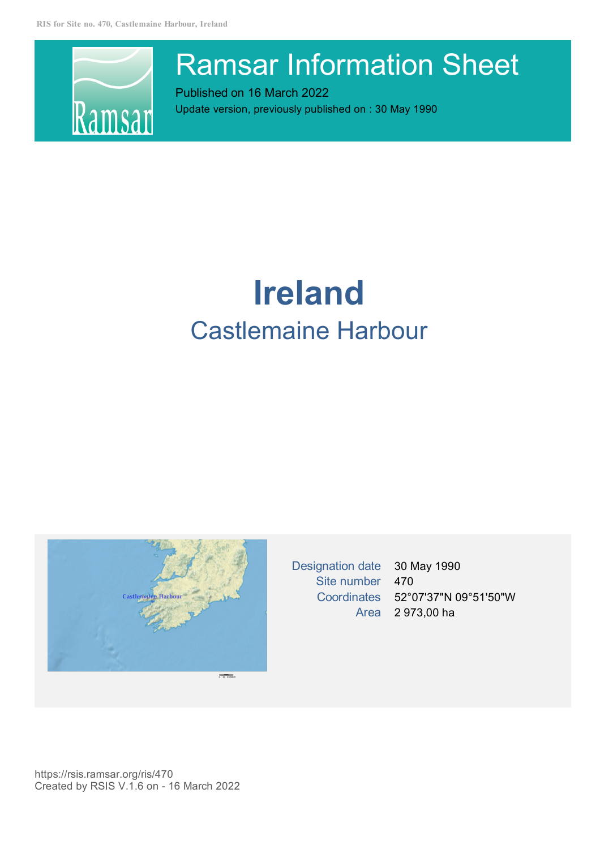

# Ramsar Information Sheet

Published on 16 March 2022 Update version, previously published on : 30 May 1990

# **Ireland** Castlemaine Harbour



Designation date 30 May 1990 Site number 470 Coordinates 52°07'37"N 09°51'50"W Area 2 973,00 ha

https://rsis.ramsar.org/ris/470 Created by RSIS V.1.6 on - 16 March 2022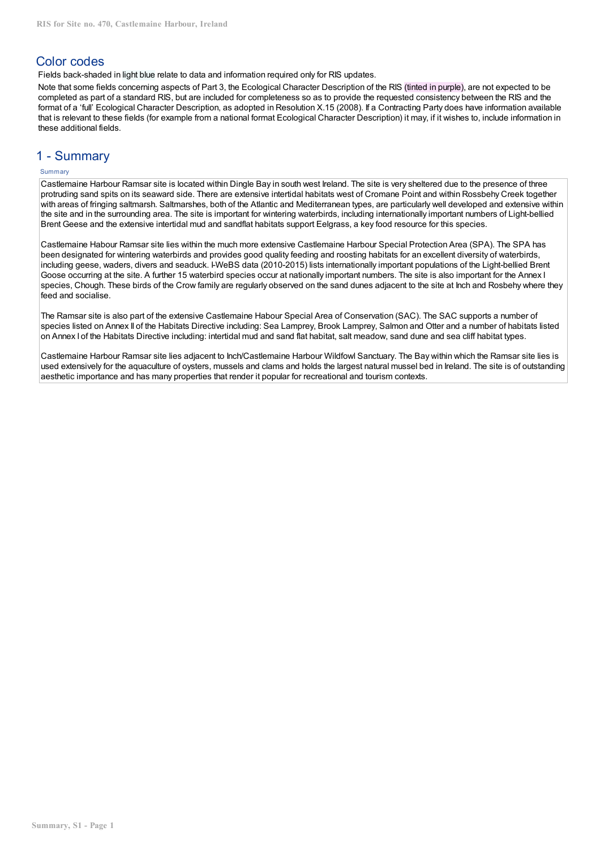## Color codes

Fields back-shaded in light blue relate to data and information required only for RIS updates.

Note that some fields concerning aspects of Part 3, the Ecological Character Description of the RIS (tinted in purple), are not expected to be completed as part of a standard RIS, but are included for completeness so as to provide the requested consistency between the RIS and the format of a 'full' Ecological Character Description, as adopted in Resolution X.15 (2008). If a Contracting Party does have information available that is relevant to these fields (for example from a national format Ecological Character Description) it may, if it wishes to, include information in these additional fields.

## 1 - Summary

## Summary

Castlemaine Harbour Ramsar site is located within Dingle Bay in south west Ireland. The site is very sheltered due to the presence of three protruding sand spits on its seaward side. There are extensive intertidal habitats west of Cromane Point and within Rossbehy Creek together with areas of fringing saltmarsh. Saltmarshes, both of the Atlantic and Mediterranean types, are particularly well developed and extensive within the site and in the surrounding area. The site is important for wintering waterbirds, including internationally important numbers of Light-bellied Brent Geese and the extensive intertidal mud and sandflat habitats support Eelgrass, a key food resource for this species.

Castlemaine Habour Ramsar site lies within the much more extensive Castlemaine Harbour Special Protection Area (SPA). The SPA has been designated for wintering waterbirds and provides good quality feeding and roosting habitats for an excellent diversity of waterbirds, including geese, waders, divers and seaduck. I-WeBS data (2010-2015) lists internationally important populations of the Light‐bellied Brent Goose occurring at the site. A further 15 waterbird species occur at nationally important numbers. The site is also important for the Annex I species, Chough. These birds of the Crow family are regularly observed on the sand dunes adiacent to the site at Inch and Rosbehy where they feed and socialise.

The Ramsar site is also part of the extensive Castlemaine Habour Special Area of Conservation (SAC). The SAC supports a number of species listed on Annex II of the Habitats Directive including: Sea Lamprey, Brook Lamprey, Salmon and Otter and a number of habitats listed on Annex I of the Habitats Directive including: intertidal mud and sand flat habitat, salt meadow, sand dune and sea cliff habitat types.

Castlemaine Harbour Ramsar site lies adjacent to Inch/Castlemaine Harbour Wildfowl Sanctuary. The Bay within which the Ramsar site lies is used extensively for the aquaculture of oysters, mussels and clams and holds the largest natural mussel bed in Ireland. The site is of outstanding aesthetic importance and has many properties that render it popular for recreational and tourism contexts.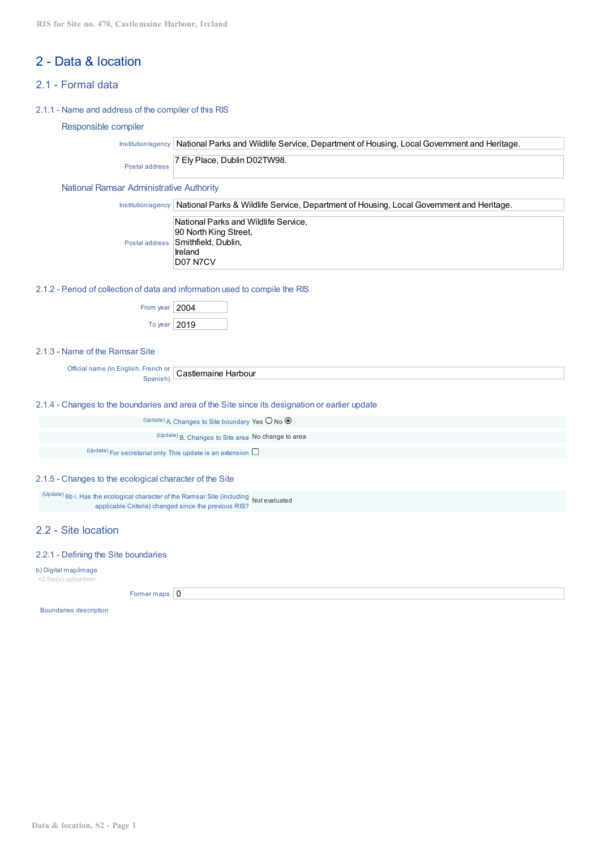# 2 - Data & location

## 2.1 - Formal data

## 2.1.1 - Name and address of the compiler of this RIS

## Responsible compiler

Institution/agency National Parks and Wildlife Service, Department of Housing, Local Government and Heritage.

Postal address 7 Ely Place, Dublin D02TW98.

### National Ramsar Administrative Authority

| Institution/agency   National Parks & Wildlife Service, Department of Housing, Local Government and Heritage. |
|---------------------------------------------------------------------------------------------------------------|
| National Parks and Wildlife Service,                                                                          |
| 90 North King Street,                                                                                         |
| Postal address Smithfield, Dublin,                                                                            |
| Ireland                                                                                                       |
| D07 N7CV                                                                                                      |

## 2.1.2 - Period of collection of data and information used to compile the RIS

| From year $ 2004$ |  |
|-------------------|--|
| To year $ 2019$   |  |

## 2.1.3 - Name of the Ramsar Site

Official name (in English, French or **Spanish)** Castlemaine Harbour

2.1.4 - Changes to the boundaries and area of the Site since its designation or earlier update

| $(Update)$ A Changes to Site boundary Yes $\bigcirc$ No $\bigcirc$   |  |
|----------------------------------------------------------------------|--|
| (Update) B. Changes to Site area No change to area                   |  |
| (Update) For secretariat only: This update is an extension $\square$ |  |

## 2.1.5 - Changes to the ecological character of the Site

(Update) 6b i. Has the ecological character of the Ramsar Site (including Not evaluated applicable Criteria) changed since the previous RIS?

## 2.2 - Site location

#### 2.2.1 - Defining the Site boundaries

b) Digital map/image

<2 file(s) uploaded>

Former maps  $\vert 0 \vert$ 

Boundaries description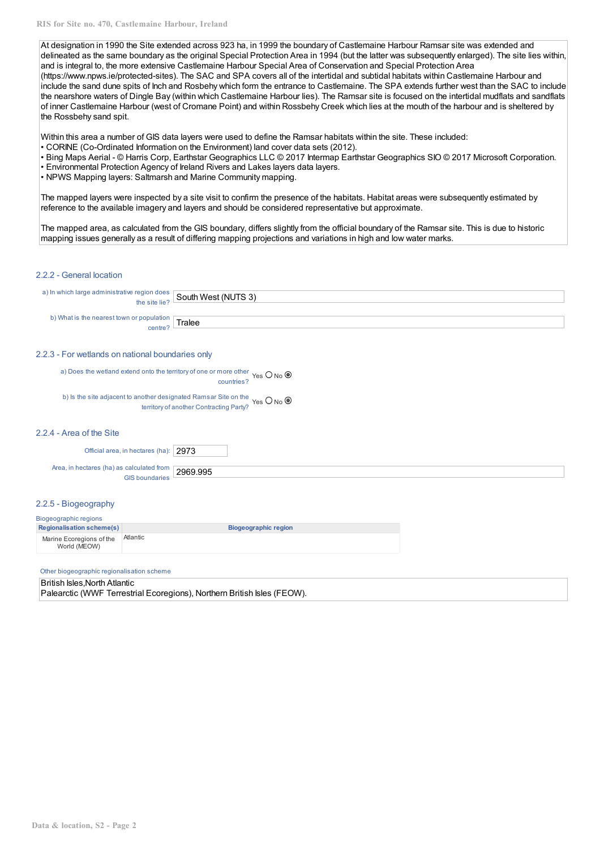At designation in 1990 the Site extended across 923 ha, in 1999 the boundary of Castlemaine Harbour Ramsar site was extended and delineated as the same boundary as the original Special Protection Area in 1994 (but the latter was subsequently enlarged). The site lies within, and is integral to, the more extensive Castlemaine Harbour Special Area of Conservation and Special Protection Area (https://www.npws.ie/protected-sites). The SAC and SPA covers all of the intertidal and subtidal habitats within Castlemaine Harbour and include the sand dune spits of Inch and Rosbehy which form the entrance to Castlemaine. The SPA extends further west than the SAC to include the nearshore waters of Dingle Bay (within which Castlemaine Harbour lies). The Ramsar site is focused on the intertidal mudflats and sandflats of inner Castlemaine Harbour (west of Cromane Point) and within Rossbehy Creek which lies at the mouth of the harbour and is sheltered by the Rossbehy sand spit.

Within this area a number of GIS data layers were used to define the Ramsar habitats within the site. These included:

- CORINE (Co-Ordinated Information on the Environment) land cover data sets (2012).
- Bing Maps Aerial © Harris Corp, Earthstar Geographics LLC © 2017 Intermap Earthstar Geographics SIO © 2017 Microsoft Corporation.
- Environmental Protection Agency of Ireland Rivers and Lakes layers data layers.
- NPWS Mapping layers: Saltmarsh and Marine Community mapping.

The mapped layers were inspected by a site visit to confirm the presence of the habitats. Habitat areas were subsequently estimated by reference to the available imagery and layers and should be considered representative but approximate.

The mapped area, as calculated from the GIS boundary, differs slightly from the official boundary of the Ramsar site. This is due to historic mapping issues generally as a result of differing mapping projections and variations in high and low water marks.

## 2.2.2 - General location

| a) In which large administrative region does $\frac{1}{2}$ South West (NUTS 3)    |  |
|-----------------------------------------------------------------------------------|--|
|                                                                                   |  |
| $\omega$ ) What is the nearest town or population centre? $\boxed{\text{Tablee}}$ |  |
|                                                                                   |  |

#### 2.2.3 - For wetlands on national boundaries only

a) Does the wetland extend onto the territory of one or more other Yes O No countries?

b) Is the site adjacent to another designated Ramsar Site on the Yes  $\bigcirc$  No I territory of another Contracting Party?

#### 2.2.4 - Area of the Site

Official area, in hectares (ha): 2973

Area, in hectares (ha) as calculated from GIS boundaries 2969.995

### 2.2.5 - Biogeography

#### Biogeographic regions **Regionalisation scheme(s) Biogeographic region** Marine Ecoregions of the World (MEOW) Atlantic

#### Other biogeographic regionalisation scheme

#### British Isles,North Atlantic

Palearctic (WWF Terrestrial Ecoregions), Northern British Isles (FEOW).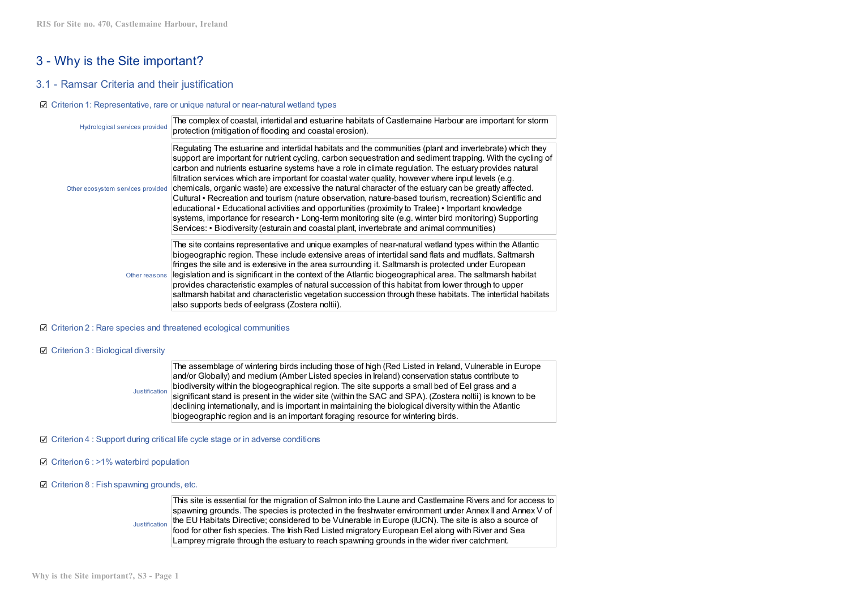# 3 - Why is the Site important?

## 3.1 - Ramsar Criteria and their justification

#### Criterion 1: Representative, rare or unique natural or near-natural wetland types

| Hydrological services provided    | The complex of coastal, intertidal and estuarine habitats of Castlemaine Harbour are important for storm<br>protection (mitigation of flooding and coastal erosion).                                                                                                                                                                                                                                                                                                                                                                                                                                                                                                                                                                                                                                                                                                                                                                                                      |
|-----------------------------------|---------------------------------------------------------------------------------------------------------------------------------------------------------------------------------------------------------------------------------------------------------------------------------------------------------------------------------------------------------------------------------------------------------------------------------------------------------------------------------------------------------------------------------------------------------------------------------------------------------------------------------------------------------------------------------------------------------------------------------------------------------------------------------------------------------------------------------------------------------------------------------------------------------------------------------------------------------------------------|
| Other ecosystem services provided | Regulating The estuarine and intertidal habitats and the communities (plant and invertebrate) which they<br>support are important for nutrient cycling, carbon sequestration and sediment trapping. With the cycling of<br>carbon and nutrients estuarine systems have a role in climate regulation. The estuary provides natural<br>filtration services which are important for coastal water quality, however where input levels (e.g.<br>chemicals, organic waste) are excessive the natural character of the estuary can be greatly affected.<br>Cultural • Recreation and tourism (nature observation, nature-based tourism, recreation) Scientific and<br>educational • Educational activities and opportunities (proximity to Tralee) • Important knowledge<br>systems, importance for research • Long-term monitoring site (e.g. winter bird monitoring) Supporting<br>Services: • Biodiversity (esturain and coastal plant, invertebrate and animal communities) |
| Other reasons                     | The site contains representative and unique examples of near-natural wetland types within the Atlantic<br>biogeographic region. These include extensive areas of intertidal sand flats and mudflats. Saltmarsh<br>fringes the site and is extensive in the area surrounding it. Saltmarsh is protected under European<br>legislation and is significant in the context of the Atlantic biogeographical area. The saltmarsh habitat<br>provides characteristic examples of natural succession of this habitat from lower through to upper<br>saltmarsh habitat and characteristic vegetation succession through these habitats. The intertidal habitats<br>also supports beds of eelgrass (Zostera noltii).                                                                                                                                                                                                                                                                |

#### ■ Criterion 2 : Rare species and threatened ecological communities

#### C Criterion 3 : Biological diversity

Justification The assemblage of wintering birds including those of high (Red Listed in Ireland, Vulnerable in Europe and/or Globally) and medium (Amber Listed species in Ireland) conservation status contribute to biodiversity within the biogeographical region. The site supports a small bed of Eel grass and a significant stand is present in the wider site (within the SAC and SPA). (Zostera noltii) is known to be declining internationally, and is important in maintaining the biological diversity within the Atlantic biogeographic region and is an important foraging resource for wintering birds.

#### $\boxtimes$  Criterion 4 : Support during critical life cycle stage or in adverse conditions

 $\boxtimes$  Criterion 6 : >1% waterbird population

#### $\boxtimes$  Criterion 8 : Fish spawning grounds, etc.

Justification This site is essential for the migration of Salmon into the Laune and Castlemaine Rivers and for access to spawning grounds. The species is protected in the freshwater environment under Annex II and Annex V of the EU Habitats Directive; considered to be Vulnerable in Europe (IUCN). The site is also a source of food for other fish species. The Irish Red Listed migratory European Eel along with River and Sea Lamprey migrate through the estuary to reach spawning grounds in the wider river catchment.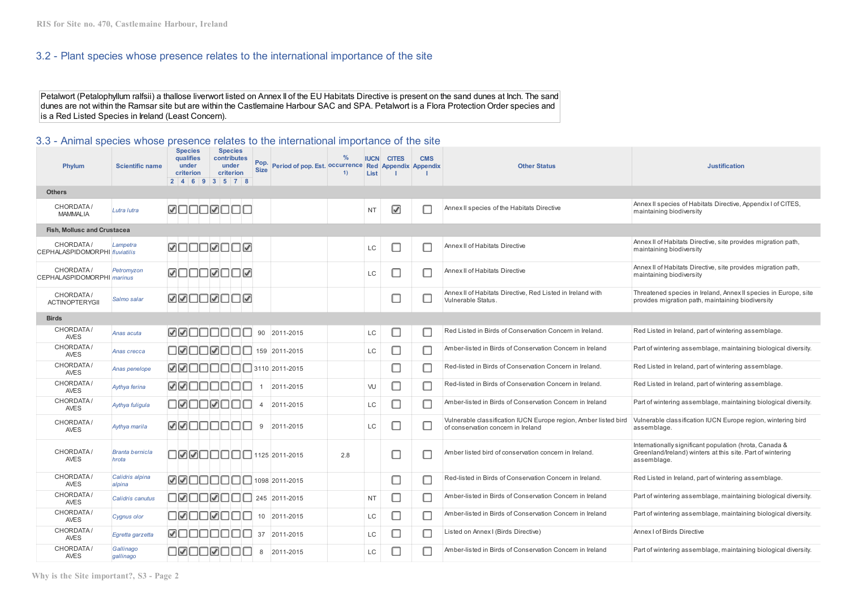## 3.2 - Plant species whose presence relates to the international importance of the site

Petalwort (Petalophyllum ralfsii) a thallose liverwort listed on Annex II of the EU Habitats Directive is present on the sand dunes at Inch. The sand dunes are not within the Ramsar site but are within the Castlemaine Harbour SAC and SPA. Petalwort is a Flora Protection Order species and is a Red Listed Species in Ireland (Least Concern).

## 3.3 - Animal species whose presence relates to the international importance of the site

| Phylum                                         | <b>Scientific name</b>          | <b>Species</b><br><b>qualifies</b><br>under<br><b>criterion</b> | <b>Species</b><br>contributes<br>under<br>criterion<br>2   4   6   9   3   5   7   8 | Pop.<br><b>Size</b> | Period of pop. Est. Occurrence Red Appendix Appendix | $\frac{9}{6}$<br>1) | <b>IUCN</b><br>List | <b>CITES</b> | <b>CMS</b> | <b>Other Status</b>                                                                                   | <b>Justification</b>                                                                                                                 |
|------------------------------------------------|---------------------------------|-----------------------------------------------------------------|--------------------------------------------------------------------------------------|---------------------|------------------------------------------------------|---------------------|---------------------|--------------|------------|-------------------------------------------------------------------------------------------------------|--------------------------------------------------------------------------------------------------------------------------------------|
| <b>Others</b>                                  |                                 |                                                                 |                                                                                      |                     |                                                      |                     |                     |              |            |                                                                                                       |                                                                                                                                      |
| CHORDATA/<br><b>MAMMALIA</b>                   | Lutra lutra                     |                                                                 | <b>MOOOMOOO</b>                                                                      |                     |                                                      |                     | <b>NT</b>           | ☑            | П          | Annex II species of the Habitats Directive                                                            | Annex II species of Habitats Directive, Appendix I of CITES,<br>maintaining biodiversity                                             |
| <b>Fish, Mollusc and Crustacea</b>             |                                 |                                                                 |                                                                                      |                     |                                                      |                     |                     |              |            |                                                                                                       |                                                                                                                                      |
| CHORDATA/<br>CEPHALASPIDOMORPHI fluviatilis    | Lampetra                        |                                                                 | <b>MUUUNUU</b>                                                                       |                     |                                                      |                     | LC                  | □            | П          | Annex II of Habitats Directive                                                                        | Annex II of Habitats Directive, site provides migration path,<br>maintaining biodiversity                                            |
| CHORDATA/<br>CEPHALASPIDOMORPHI <i>marinus</i> | Petromyzon                      |                                                                 | <b>MUUUMUU</b> M                                                                     |                     |                                                      |                     | LC                  | □            | П          | Annex II of Habitats Directive                                                                        | Annex II of Habitats Directive, site provides migration path,<br>maintaining biodiversity                                            |
| CHORDATA/<br><b>ACTINOPTERYGII</b>             | Salmo salar                     |                                                                 | <u> Raudrour</u>                                                                     |                     |                                                      |                     |                     | c            | c          | Annex II of Habitats Directive, Red Listed in Ireland with<br>Vulnerable Status.                      | Threatened species in Ireland, Annex II species in Europe, site<br>provides migration path, maintaining biodiversity                 |
| <b>Birds</b>                                   |                                 |                                                                 |                                                                                      |                     |                                                      |                     |                     |              |            |                                                                                                       |                                                                                                                                      |
| CHORDATA/<br><b>AVES</b>                       | Anas acuta                      |                                                                 | ØØOOOOOO                                                                             | 90                  | 2011-2015                                            |                     | LC                  | С            | □          | Red Listed in Birds of Conservation Concern in Ireland.                                               | Red Listed in Ireland, part of wintering assemblage.                                                                                 |
| CHORDATA/<br><b>AVES</b>                       | Anas crecca                     |                                                                 | $\square$ $\square \square \square \square \square \square \square$ 159 2011-2015    |                     |                                                      |                     | LC                  | □            | П          | Amber-listed in Birds of Conservation Concern in Ireland                                              | Part of wintering assemblage, maintaining biological diversity.                                                                      |
| CHORDATA/<br><b>AVES</b>                       | Anas penelope                   |                                                                 | $\boxed{\mathcal{A}}$                                                                |                     |                                                      |                     |                     | с            | С          | Red-listed in Birds of Conservation Concern in Ireland.                                               | Red Listed in Ireland, part of wintering assemblage.                                                                                 |
| CHORDATA/<br><b>AVES</b>                       | Aythya ferina                   |                                                                 | <u>MMUUUUUU</u>                                                                      |                     | 2011-2015                                            |                     | VU                  | ⊏            | Г          | Red-listed in Birds of Conservation Concern in Ireland.                                               | Red Listed in Ireland, part of wintering assemblage.                                                                                 |
| CHORDATA/<br><b>AVES</b>                       | Aythya fuligula                 |                                                                 | <b>__________</b>                                                                    | $\overline{4}$      | 2011-2015                                            |                     | LC                  | □            | □          | Amber-listed in Birds of Conservation Concern in Ireland                                              | Part of wintering assemblage, maintaining biological diversity.                                                                      |
| CHORDATA/<br><b>AVES</b>                       | Aythya marila                   | <b>ØØOOOOO</b>                                                  |                                                                                      | 9                   | 2011-2015                                            |                     | LC                  | о            | □          | Vulnerable classification IUCN Europe region, Amber listed bird<br>of conservation concern in Ireland | Vulnerable classification IUCN Europe region, wintering bird<br>assemblage.                                                          |
| CHORDATA/<br><b>AVES</b>                       | <b>Branta bernicla</b><br>hrota |                                                                 | □ØØ□□□□□□□□□□□□                                                                      |                     |                                                      | 2.8                 |                     | о            | П          | Amber listed bird of conservation concern in Ireland.                                                 | Internationally significant population (hrota, Canada &<br>Greenland/Ireland) winters at this site. Part of wintering<br>assemblage. |
| CHORDATA/<br><b>AVES</b>                       | Calidris alpina<br>alpina       |                                                                 | $\boxed{\mathcal{A}}$                                                                |                     |                                                      |                     |                     | ⊏            | Г          | Red-listed in Birds of Conservation Concern in Ireland.                                               | Red Listed in Ireland, part of wintering assemblage.                                                                                 |
| CHORDATA/<br><b>AVES</b>                       | Calidris canutus                |                                                                 | <u>onoonoo</u>                                                                       |                     | 245 2011-2015                                        |                     | <b>NT</b>           | c            | Г          | Amber-listed in Birds of Conservation Concern in Ireland                                              | Part of wintering assemblage, maintaining biological diversity.                                                                      |
| CHORDATA/<br><b>AVES</b>                       | Cygnus olor                     |                                                                 | OØDOØDOC                                                                             | 10                  | 2011-2015                                            |                     | LC                  | □            | □          | Amber-listed in Birds of Conservation Concern in Ireland                                              | Part of wintering assemblage, maintaining biological diversity.                                                                      |
| CHORDATA/<br><b>AVES</b>                       | Egretta garzetta                | ☑⊟                                                              | nnn                                                                                  | 37                  | 2011-2015                                            |                     | LC                  | С            | Г          | Listed on Annex I (Birds Directive)                                                                   | Annex I of Birds Directive                                                                                                           |
| CHORDATA/<br><b>AVES</b>                       | Gallinago<br>gallinago          |                                                                 | <u>oøooøooo</u>                                                                      | 8                   | 2011-2015                                            |                     | LC                  | с            | С          | Amber-listed in Birds of Conservation Concern in Ireland                                              | Part of wintering assemblage, maintaining biological diversity.                                                                      |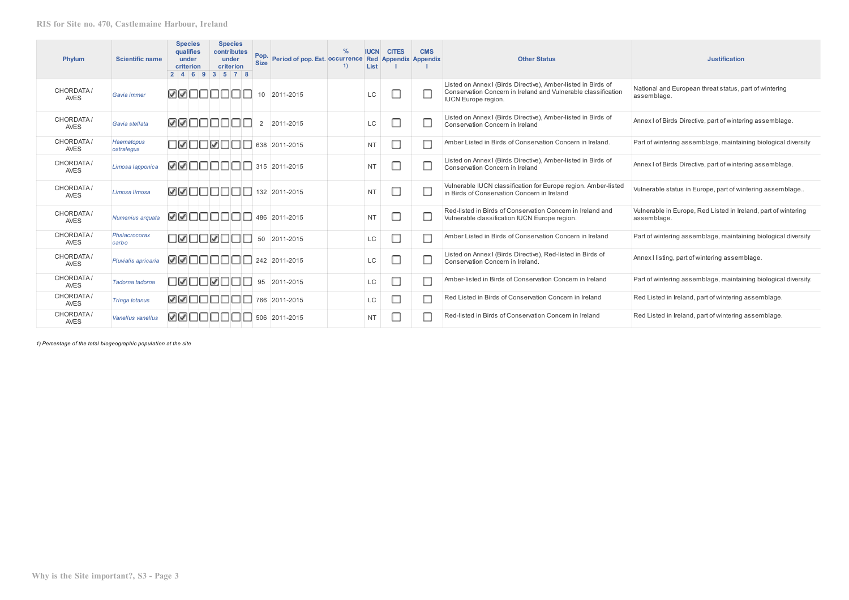| Phylum                   | <b>Scientific name</b>   | <b>Species</b><br>qualifies<br>under<br>criterion | <b>Species</b><br>contributes<br>under<br>criterion<br>2   4   6   9   3   5   7   8 | Pop.<br><b>Size</b> | Period of pop. Est. Occurrence Red Appendix Appendix | <b>IUCN</b><br>List | <b>CITES</b> | <b>CMS</b> | <b>Other Status</b>                                                                                                                                          | <b>Justification</b>                                                          |
|--------------------------|--------------------------|---------------------------------------------------|--------------------------------------------------------------------------------------|---------------------|------------------------------------------------------|---------------------|--------------|------------|--------------------------------------------------------------------------------------------------------------------------------------------------------------|-------------------------------------------------------------------------------|
| CHORDATA/<br><b>AVES</b> | Gavia immer              | ☑☑□□□                                             |                                                                                      | 10                  | 2011-2015                                            | LC                  |              | ◘          | Listed on Annex I (Birds Directive), Amber-listed in Birds of<br>Conservation Concern in Ireland and Vulnerable classification<br><b>IUCN</b> Europe region. | National and European threat status, part of wintering<br>assemblage.         |
| CHORDATA/<br><b>AVES</b> | Gavia stellata           | <b>MAUUUU</b>                                     |                                                                                      | 2                   | 2011-2015                                            | LC                  |              |            | Listed on Annex I (Birds Directive), Amber-listed in Birds of<br>Conservation Concern in Ireland                                                             | Annex I of Birds Directive, part of wintering assemblage.                     |
| CHORDATA/<br><b>AVES</b> | Haematopus<br>ostralegus | חשםם⊠כו                                           |                                                                                      |                     | 638 2011-2015                                        | <b>NT</b>           |              | П          | Amber Listed in Birds of Conservation Concern in Ireland.                                                                                                    | Part of wintering assemblage, maintaining biological diversity                |
| CHORDATA/<br><b>AVES</b> | Limosa lapponica         | ☑☑□□□□                                            |                                                                                      |                     | 315 2011-2015                                        | <b>NT</b>           |              | O          | Listed on Annex I (Birds Directive), Amber-listed in Birds of<br>Conservation Concern in Ireland                                                             | Annex I of Birds Directive, part of wintering assemblage.                     |
| CHORDATA/<br><b>AVES</b> | Limosa limosa            |                                                   | 132 2011-2015 2012 2015 2012 2013                                                    |                     |                                                      | <b>NT</b>           |              | □          | Vulnerable IUCN classification for Europe region. Amber-listed<br>in Birds of Conservation Concern in Ireland                                                | Vulnerable status in Europe, part of wintering assemblage                     |
| CHORDATA/<br><b>AVES</b> | Numenius arquata         | ☑☑□□□□                                            |                                                                                      |                     | 486 2011-2015                                        | <b>NT</b>           |              | □          | Red-listed in Birds of Conservation Concern in Ireland and<br>Vulnerable classification IUCN Europe region.                                                  | Vulnerable in Europe, Red Listed in Ireland, part of wintering<br>assemblage. |
| CHORDATA/<br><b>AVES</b> | Phalacrocorax<br>carbo   |                                                   | <b>JØNNOØNN</b>                                                                      | 50                  | 2011-2015                                            | <b>LC</b>           |              |            | Amber Listed in Birds of Conservation Concern in Ireland                                                                                                     | Part of wintering assemblage, maintaining biological diversity                |
| CHORDATA/<br><b>AVES</b> | Pluvialis apricaria      |                                                   | $\boxed{\blacktriangleright}$                                                        |                     |                                                      | LC                  |              |            | Listed on Annex I (Birds Directive), Red-listed in Birds of<br>Conservation Concern in Ireland.                                                              | Annex I listing, part of wintering assemblage.                                |
| CHORDATA/<br><b>AVES</b> | Tadorna tadorna          | OROORO                                            |                                                                                      | 95                  | 2011-2015                                            | <b>LC</b>           |              |            | Amber-listed in Birds of Conservation Concern in Ireland                                                                                                     | Part of wintering assemblage, maintaining biological diversity.               |
| CHORDATA/<br><b>AVES</b> | <b>Tringa totanus</b>    | ☑☑⊓⊓                                              |                                                                                      |                     | 766 2011-2015                                        | <b>LC</b>           |              |            | Red Listed in Birds of Conservation Concern in Ireland                                                                                                       | Red Listed in Ireland, part of wintering assemblage.                          |
| CHORDATA/<br><b>AVES</b> | Vanellus vanellus        | ØØNNNN                                            | - 11                                                                                 |                     | 506 2011-2015                                        | <b>NT</b>           |              |            | Red-listed in Birds of Conservation Concern in Ireland                                                                                                       | Red Listed in Ireland, part of wintering assemblage.                          |

*1) Percentage of the total biogeographic population at the site*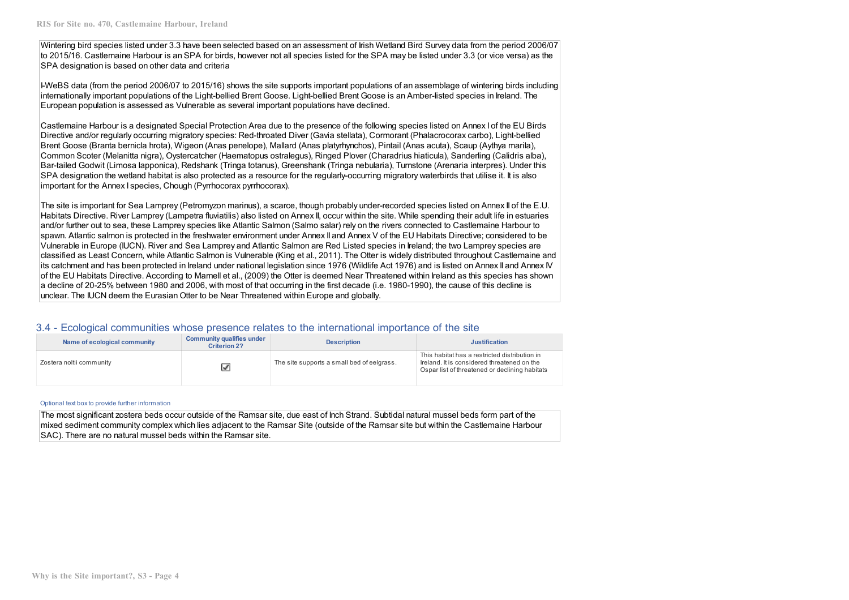Wintering bird species listed under 3.3 have been selected based on an assessment of Irish Wetland Bird Survey data from the period 2006/07 to 2015/16. Castlemaine Harbour is an SPA for birds, however not all species listed for the SPA may be listed under 3.3 (or vice versa) as the SPA designation is based on other data and criteria

I-WeBS data (from the period 2006/07 to 2015/16) shows the site supports important populations of an assemblage of wintering birds including internationally important populations of the Light‐bellied Brent Goose. Light-bellied Brent Goose is an Amber-listed species in Ireland. The European population is assessed as Vulnerable as several important populations have declined.

Castlemaine Harbour is a designated Special Protection Area due to the presence of the following species listed on Annex I of the EU Birds Directive and/or regularly occurring migratory species: Red‐throated Diver (Gavia stellata), Cormorant (Phalacrocorax carbo), Light-bellied Brent Goose (Branta bernicla hrota), Wigeon (Anas penelope), Mallard (Anas platyrhynchos), Pintail (Anas acuta), Scaup (Aythya marila), Common Scoter (Melanitta nigra), Oystercatcher (Haematopus ostralegus), Ringed Plover (Charadrius hiaticula), Sanderling (Calidris alba), Bar‐tailed Godwit (Limosa lapponica), Redshank (Tringa totanus), Greenshank (Tringa nebularia), Turnstone (Arenaria interpres). Under this SPA designation the wetland habitat is also protected as a resource for the regularly-occurring migratory waterbirds that utilise it. It is also important for the Annex I species, Chough (Pyrrhocorax pyrrhocorax).

The site is important for Sea Lamprey (Petromyzon marinus), a scarce, though probably under-recorded species listed on Annex II of the E.U. Habitats Directive. River Lamprey (Lampetra fluviatilis) also listed on Annex II, occur within the site. While spending their adult life in estuaries and/or further out to sea, these Lamprey species like Atlantic Salmon (Salmo salar) rely on the rivers connected to Castlemaine Harbour to spawn. Atlantic salmon is protected in the freshwater environment under Annex II and Annex V of the EU Habitats Directive; considered to be Vulnerable in Europe (IUCN). River and Sea Lamprey and Atlantic Salmon are Red Listed species in Ireland; the two Lamprey species are classified as Least Concern, while Atlantic Salmon is Vulnerable (King et al., 2011). The Otter is widely distributed throughout Castlemaine and its catchment and has been protected in Ireland under national legislation since 1976 (Wildlife Act 1976) and is listed on Annex II and Annex IV of the EU Habitats Directive. According to Marnell et al., (2009) the Otter is deemed Near Threatened within Ireland as this species has shown a decline of 20-25% between 1980 and 2006, with most of that occurring in the first decade (i.e. 1980-1990), the cause of this decline is unclear. The IUCN deem the Eurasian Otter to be Near Threatened within Europe and globally.

## 3.4 - Ecological communities whose presence relates to the international importance of the site

| Name of ecological community | <b>Community qualifies under</b><br><b>Criterion 2?</b> | <b>Description</b>                         | <b>Justification</b>                                                                                                                           |
|------------------------------|---------------------------------------------------------|--------------------------------------------|------------------------------------------------------------------------------------------------------------------------------------------------|
| Zostera noltii community     |                                                         | The site supports a small bed of eelgrass. | This habitat has a restricted distribution in<br>Ireland, It is considered threatened on the<br>Ospar list of threatened or declining habitats |

#### Optional text box to provide further information

The most significant zostera beds occur outside of the Ramsar site, due east of Inch Strand. Subtidal natural mussel beds form part of the mixed sediment community complex which lies adjacent to the Ramsar Site (outside of the Ramsar site but within the Castlemaine Harbour SAC). There are no natural mussel beds within the Ramsar site.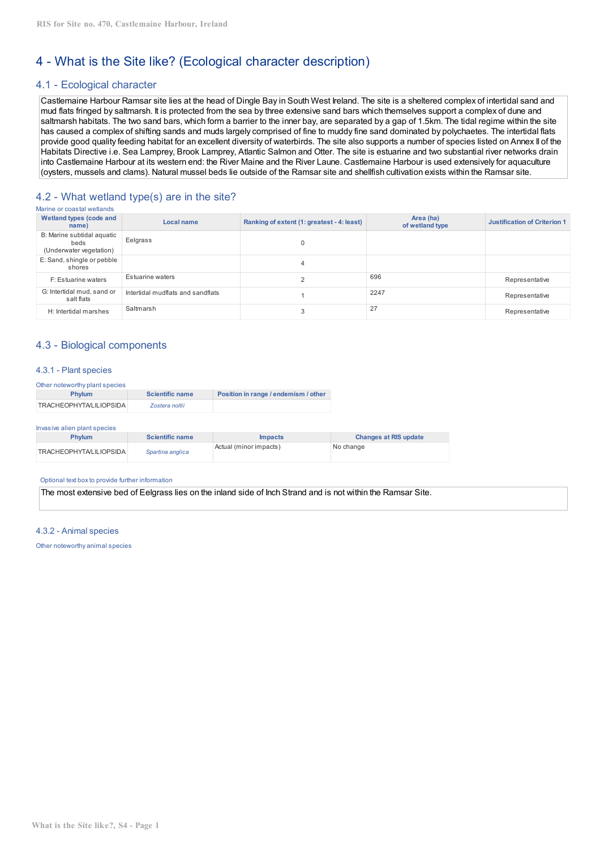# 4 - What is the Site like? (Ecological character description)

## 4.1 - Ecological character

Castlemaine Harbour Ramsar site lies at the head of Dingle Bay in South West Ireland. The site is a sheltered complex of intertidal sand and mud flats fringed by saltmarsh. It is protected from the sea by three extensive sand bars which themselves support a complex of dune and saltmarsh habitats. The two sand bars, which form a barrier to the inner bay, are separated by a gap of 1.5km. The tidal regime within the site has caused a complex of shifting sands and muds largely comprised of fine to muddy fine sand dominated by polychaetes. The intertidal flats provide good quality feeding habitat for an excellent diversity of waterbirds. The site also supports a number of species listed on Annex II of the Habitats Directive i.e. Sea Lamprey, Brook Lamprey, Atlantic Salmon and Otter. The site is estuarine and two substantial river networks drain into Castlemaine Harbour at its western end: the River Maine and the River Laune. Castlemaine Harbour is used extensively for aquaculture (oysters, mussels and clams). Natural mussel beds lie outside of the Ramsar site and shellfish cultivation exists within the Ramsar site.

## 4.2 - What wetland type(s) are in the site?

| Marine or coastal wetlands                                    |                                   |                                            |                              |                                     |
|---------------------------------------------------------------|-----------------------------------|--------------------------------------------|------------------------------|-------------------------------------|
| <b>Wetland types (code and</b><br>name)                       | Local name                        | Ranking of extent (1: greatest - 4: least) | Area (ha)<br>of wetland type | <b>Justification of Criterion 1</b> |
| B: Marine subtidal aquatic<br>beds<br>(Underwater vegetation) | Eelgrass                          |                                            |                              |                                     |
| E: Sand, shingle or pebble<br>shores                          |                                   |                                            |                              |                                     |
| F: Estuarine waters                                           | Estuarine waters                  |                                            | 696                          | Representative                      |
| G: Intertidal mud, sand or<br>salt flats                      | Intertidal mudflats and sandflats |                                            | 2247                         | Representative                      |
| H: Intertidal marshes                                         | Saltmarsh                         |                                            | 27                           | Representative                      |

## 4.3 - Biological components

## 4.3.1 - Plant species

| Other noteworthy plant species |                        |                                      |  |  |  |  |
|--------------------------------|------------------------|--------------------------------------|--|--|--|--|
| <b>Phylum</b>                  | <b>Scientific name</b> | Position in range / endemism / other |  |  |  |  |
| <b>TRACHEOPHYTA/LILIOPSIDA</b> | Zostera noltii         |                                      |  |  |  |  |

#### Invasive alien plant species

| <b>Phylum</b>                  | <b>Scientific name</b> | <i>Impacts</i>         | <b>Changes at RIS update</b> |
|--------------------------------|------------------------|------------------------|------------------------------|
| <b>TRACHEOPHYTA/LILIOPSIDA</b> | Spartina anglica       | Actual (minor impacts) | No change                    |

#### Optional text boxto provide further information

The most extensive bed of Eelgrass lies on the inland side of Inch Strand and is not within the Ramsar Site.

#### 4.3.2 - Animal species

Other noteworthy animal species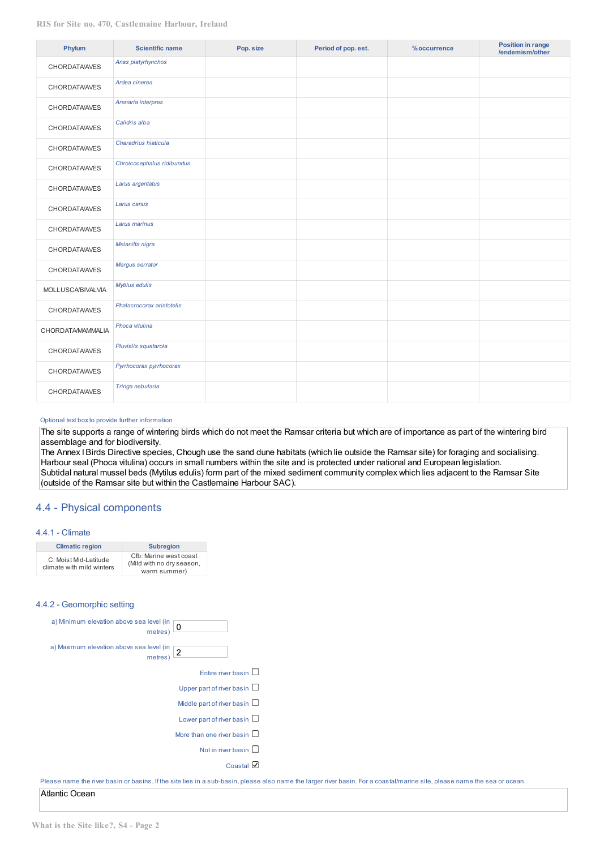| Phylum                   | <b>Scientific name</b>     | Pop. size | Period of pop. est. | % occurrence | <b>Position in range</b><br>/endemism/other |
|--------------------------|----------------------------|-----------|---------------------|--------------|---------------------------------------------|
| <b>CHORDATA/AVES</b>     | Anas platyrhynchos         |           |                     |              |                                             |
| <b>CHORDATA/AVES</b>     | Ardea cinerea              |           |                     |              |                                             |
| <b>CHORDATA/AVES</b>     | Arenaria interpres         |           |                     |              |                                             |
| <b>CHORDATA/AVES</b>     | Calidris alba              |           |                     |              |                                             |
| <b>CHORDATA/AVES</b>     | Charadrius hiaticula       |           |                     |              |                                             |
| <b>CHORDATA/AVES</b>     | Chroicocephalus ridibundus |           |                     |              |                                             |
| <b>CHORDATA/AVES</b>     | Larus argentatus           |           |                     |              |                                             |
| <b>CHORDATA/AVES</b>     | Larus canus                |           |                     |              |                                             |
| <b>CHORDATA/AVES</b>     | Larus marinus              |           |                     |              |                                             |
| <b>CHORDATA/AVES</b>     | Melanitta nigra            |           |                     |              |                                             |
| <b>CHORDATA/AVES</b>     | Mergus serrator            |           |                     |              |                                             |
| <b>MOLLUSCA/BIVALVIA</b> | Mytilus edulis             |           |                     |              |                                             |
| <b>CHORDATA/AVES</b>     | Phalacrocorax aristotelis  |           |                     |              |                                             |
| CHORDATA/MAMMALIA        | Phoca vitulina             |           |                     |              |                                             |
| <b>CHORDATA/AVES</b>     | Pluvialis squatarola       |           |                     |              |                                             |
| <b>CHORDATA/AVES</b>     | Pyrrhocorax pyrrhocorax    |           |                     |              |                                             |
| <b>CHORDATA/AVES</b>     | Tringa nebularia           |           |                     |              |                                             |

#### Optional text boxto provide further information

The site supports a range of wintering birds which do not meet the Ramsar criteria but which are of importance as part of the wintering bird assemblage and for biodiversity.

The Annex IBirds Directive species, Chough use the sand dune habitats (which lie outside the Ramsar site) for foraging and socialising. Harbour seal (Phoca vitulina) occurs in small numbers within the site and is protected under national and European legislation. Subtidal natural mussel beds (Mytilus edulis) form part of the mixed sediment community complex which lies adjacent to the Ramsar Site (outside of the Ramsar site but within the Castlemaine Harbour SAC).

## 4.4 - Physical components

#### 4.4.1 - Climate

| <b>Climatic region</b>                             | <b>Subregion</b>                                                    |
|----------------------------------------------------|---------------------------------------------------------------------|
| C: Moist Mid-Latitude<br>climate with mild winters | Cfb: Marine west coast<br>(Mild with no dry season,<br>warm summer) |

## 4.4.2 - Geomorphic setting

| a) Minimum elevation above sea level (in<br>0<br>metres)          |
|-------------------------------------------------------------------|
| a) Maximum elevation above sea level (in<br>$\sqrt{2}$<br>metres) |
| Entire river basin $\Box$                                         |
| Upper part of river basin $\Box$                                  |
| Middle part of river basin $\Box$                                 |
| Lower part of river basin $\Box$                                  |
| More than one river basin                                         |
| Not in river basin $\square$                                      |
| Coastal                                                           |

Please name the river basin or basins. If the site lies in a sub-basin, please also name the larger river basin. For a coastal/marine site, please name the sea or ocean. Atlantic Ocean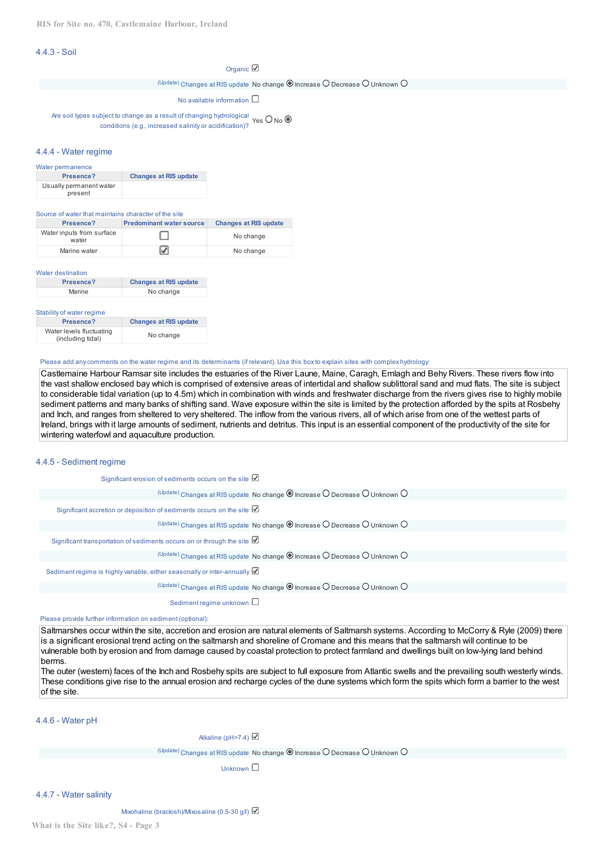## 4.4.3 - Soil

#### Organic  $\mathbb Z$

 $U_{\text{pdate}}$ ) Changes at RIS update No change  $\textcircled{\textsf{S}}$  Increase  $\textcircled{\textsf{I}}$  Decrease  $\textcircled{\textsf{I}}$  Unknown  $\textcircled{\textsf{I}}$ 

No available information  $\square$ 

Are soil types subject to change as a result of changing hydrological  $Y$ es O No conditions (e.g., increased salinity or acidification)?

#### 4.4.4 - Water regime

| Water permanence        |                              |
|-------------------------|------------------------------|
| Presence?               | <b>Changes at RIS update</b> |
| Usually permanent water |                              |
| present                 |                              |

#### Source of water that maintains character of the site

| Presence?                          | <b>Predominant water source</b> | <b>Changes at RIS update</b> |
|------------------------------------|---------------------------------|------------------------------|
| Water inputs from surface<br>water |                                 | No change                    |
| Marine water                       |                                 | No change                    |

#### Water destination

| Presence? | <b>Changes at RIS update</b> |
|-----------|------------------------------|
| Marine    | No change                    |

#### Stability of water regime

| Presence?                                     | <b>Changes at RIS update</b> |
|-----------------------------------------------|------------------------------|
| Water levels fluctuating<br>(including tidal) | No change                    |

#### Please add anycomments on the water regime and its determinants (if relevant). Use this boxto explain sites with complex hydrology:

Castlemaine Harbour Ramsar site includes the estuaries of the River Laune, Maine, Caragh, Emlagh and Behy Rivers. These rivers flow into the vast shallow enclosed bay which is comprised of extensive areas of intertidal and shallow sublittoral sand and mud flats. The site is subject to considerable tidal variation (up to 4.5m) which in combination with winds and freshwater discharge from the rivers gives rise to highly mobile sediment patterns and many banks of shifting sand. Wave exposure within the site is limited by the protection afforded by the spits at Rosbehy and Inch, and ranges from sheltered to very sheltered. The inflow from the various rivers, all of which arise from one of the wettest parts of Ireland, brings with it large amounts of sediment, nutrients and detritus. This input is an essential component of the productivity of the site for wintering waterfowl and aquaculture production.

## 4.4.5 - Sediment regime

| Significant erosion of sediments occurs on the site $\mathbb Z$                                         |
|---------------------------------------------------------------------------------------------------------|
| $^{(Update)}$ Changes at RIS update No change $\odot$ Increase $\odot$ Decrease $\odot$ Unknown $\odot$ |
| Significant accretion or deposition of sediments occurs on the site $\boxtimes$                         |
| (Update) Changes at RIS update No change O Increase O Decrease O Unknown O                              |
| Significant transportation of sediments occurs on or through the site $\boxtimes$                       |
| $^{(Update)}$ Changes at RIS update No change $\odot$ Increase $\odot$ Decrease $\odot$ Unknown $\odot$ |
| Sediment regime is highly variable, either seasonally or inter-annually M                               |
| $^{(Update)}$ Changes at RIS update No change $\odot$ Increase $\odot$ Decrease $\odot$ Unknown $\odot$ |
| Sediment regime unknown $\square$                                                                       |

Please provide further information on sediment (optional):

Saltmarshes occur within the site, accretion and erosion are natural elements of Saltmarsh systems. According to McCorry & Ryle (2009) there is a significant erosional trend acting on the saltmarsh and shoreline of Cromane and this means that the saltmarsh will continue to be vulnerable both by erosion and from damage caused by coastal protection to protect farmland and dwellings built on low-lying land behind berms.

The outer (western) faces of the Inch and Rosbehy spits are subject to full exposure from Atlantic swells and the prevailing south westerly winds. These conditions give rise to the annual erosion and recharge cycles of the dune systems which form the spits which form a barrier to the west of the site.

4.4.6 - Water pH

Alkaline (pH>7.4)

 $U_{\text{update}}$  Changes at RIS update No change  $\textcircled{\textsf{S}}$  Increase  $\textcircled{\textsf{I}}$  Decrease  $\textcircled{\textsf{I}}$  Unknown  $\textcircled{\textsf{I}}$ 

Unknown  $\Box$ 

4.4.7 - Water salinity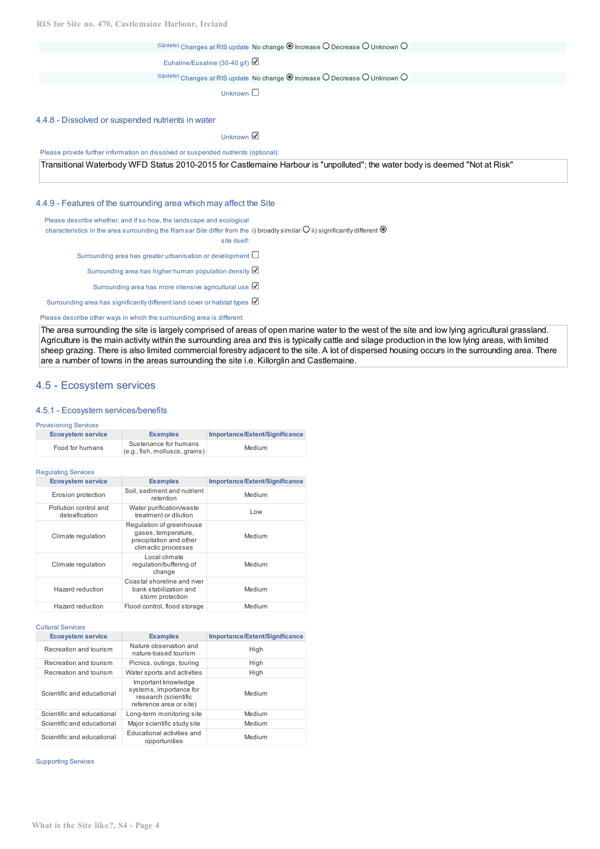**RIS for Site no. 470, Castlemaine Harbour, Ireland**

(Update) Changes at RIS update No change  $\textcircled{\small{a}}$  Increase  $\textcircled{\small{b}}$  Decrease  $\textcircled{\small{b}}$  Unknown  $\textcircled{\small{b}}$ Euhaline/Eusaline (30-40 g/l)  $U_{\text{P}}$ <sup>(Update)</sup> Changes at RIS update No change  $\textcircled{\small{a}}$  Increase  $\textcircled{\small{b}}$  Decrease  $\textcircled{\small{b}}$  Unknown  $\textcircled{\small{b}}$ Unknown  $\square$ 4.4.8 - Dissolved or suspended nutrients in water Unknown **■** 

Please provide further information on dissolved or suspended nutrients (optional):

Transitional Waterbody WFD Status 2010-2015 for Castlemaine Harbour is "unpolluted"; the water body is deemed "Not at Risk"

#### 4.4.9 - Features of the surrounding area which may affect the Site

Please describe whether, and if so how, the landscape and ecological

characteristics in the area surrounding the Ramsar Site differ from the  $\,$ i) broadly $\,$ similar $\,$ U $\,$ ii) $\,$ significantly $\,$ different

site itself:

Surrounding area has greater urbanisation or development  $\square$ 

Surrounding area has higher human population density

Surrounding area has more intensive agricultural use

Surrounding area has significantly different land cover or habitat types  $\boxtimes$ 

Please describe other ways in which the surrounding area is different:

The area surrounding the site is largely comprised of areas of open marine water to the west of the site and low lying agricultural grassland. Agriculture is the main activity within the surrounding area and this is typically cattle and silage production in the low lying areas, with limited sheep grazing. There is also limited commercial forestry adjacent to the site. A lot of dispersed housing occurs in the surrounding area. There are a number of towns in the areas surrounding the site i.e. Killorglin and Castlemaine.

## 4.5 - Ecosystem services

#### 4.5.1 - Ecosystem services/benefits

#### Provisioning Services

| <b>Ecosystem service</b> | <b>Examples</b>                                         | Importance/Extent/Significance |
|--------------------------|---------------------------------------------------------|--------------------------------|
| Food for humans          | Sustenance for humans<br>(e.g., fish, molluscs, grains) | Medium                         |

#### Regulating Services

| <b>Ecosystem service</b>                | <b>Examples</b>                                                                                   | Importance/Extent/Significance |
|-----------------------------------------|---------------------------------------------------------------------------------------------------|--------------------------------|
| Erosion protection                      | Soil, sediment and nutrient<br>retention                                                          | Medium                         |
| Pollution control and<br>detoxification | Water purification/waste<br>treatment or dilution                                                 | Low                            |
| Climate regulation                      | Regulation of greenhouse<br>gases, temperature,<br>precipitation and other<br>climactic processes | Medium                         |
| Climate regulation                      | Local climate<br>regulation/buffering of<br>change                                                | Medium                         |
| Hazard reduction                        | Coastal shoreline and river<br>bank stabilization and<br>storm protection                         | Medium                         |
| Hazard reduction                        | Flood control, flood storage                                                                      | Medium                         |

#### Cultural Services

| <b>Ecosystem service</b>   | <b>Examples</b>                                                                                   | Importance/Extent/Significance |
|----------------------------|---------------------------------------------------------------------------------------------------|--------------------------------|
| Recreation and tourism     | Nature observation and<br>nature-based tourism                                                    | High                           |
| Recreation and tourism     | Picnics, outings, touring                                                                         | High                           |
| Recreation and tourism     | Water sports and activities                                                                       | High                           |
| Scientific and educational | Important knowledge<br>systems, importance for<br>research (scientific<br>reference area or site) | Medium                         |
| Scientific and educational | Long-term monitoring site                                                                         | Medium                         |
| Scientific and educational | Major scientific study site                                                                       | Medium                         |
| Scientific and educational | Educational activities and<br>opportunities                                                       | Medium                         |

Supporting Services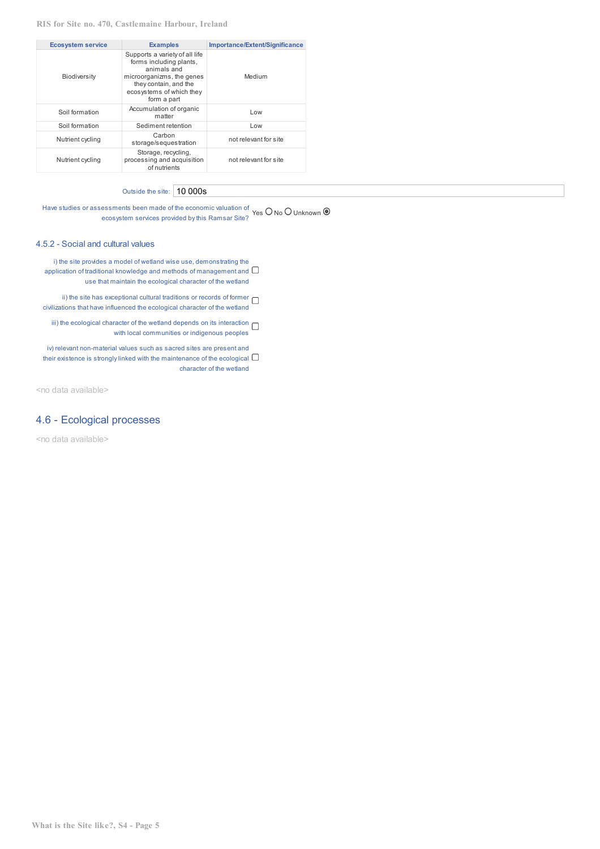| <b>Ecosystem service</b> | <b>Examples</b>                                                                                                                                                           | Importance/Extent/Significance |
|--------------------------|---------------------------------------------------------------------------------------------------------------------------------------------------------------------------|--------------------------------|
| <b>Biodiversity</b>      | Supports a variety of all life<br>forms including plants,<br>animals and<br>microorganizms, the genes<br>they contain, and the<br>ecosystems of which they<br>form a part | Medium                         |
| Soil formation           | Accumulation of organic<br>matter                                                                                                                                         | Low                            |
| Soil formation           | Sediment retention                                                                                                                                                        | Low                            |
| Nutrient cycling         | Carbon<br>storage/sequestration                                                                                                                                           | not relevant for site          |
| Nutrient cycling         | Storage, recycling,<br>processing and acquisition<br>of nutrients                                                                                                         | not relevant for site          |

Outside the site: 10 000s

Have studies or assessments been made of the economic valuation of  $Yes$  O No O Unknown ecosystem services provided bythis Ramsar Site?

#### 4.5.2 - Social and cultural values

i) the site provides a model of wetland wise use, demonstrating the application of traditional knowledge and methods of management and  $\Box$ use that maintain the ecological character of the wetland

ii) the site has exceptional cultural traditions or records of former  $\Box$ civilizations that have influenced the ecological character of the wetland

iii) the ecological character of the wetland depends on its interaction  $\Box$ with local communities or indigenous peoples

iv) relevant non-material values such as sacred sites are present and their existence is strongly linked with the maintenance of the ecological  $\Box$ character of the wetland

<no data available>

## 4.6 - Ecological processes

<no data available>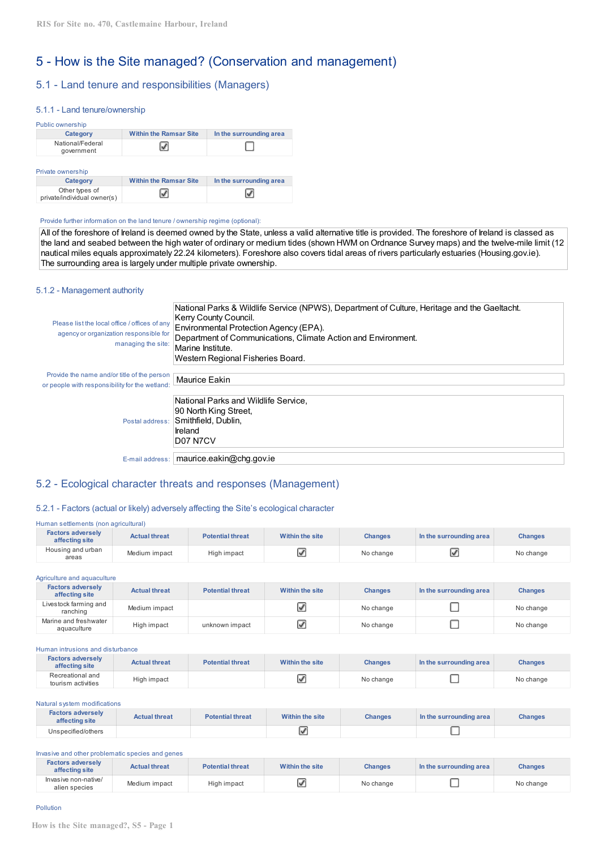# 5 - How is the Site managed? (Conservation and management)

## 5.1 - Land tenure and responsibilities (Managers)

#### 5.1.1 - Land tenure/ownership

| Category                       | <b>Within the Ramsar Site</b> | In the surrounding area |
|--------------------------------|-------------------------------|-------------------------|
| National/Federal<br>government |                               |                         |
|                                |                               |                         |

| <b>Category</b>                               | <b>Within the Ramsar Site</b> | In the surrounding area |
|-----------------------------------------------|-------------------------------|-------------------------|
| Other types of<br>private/individual owner(s) |                               | ☑                       |

#### Provide further information on the land tenure / ownership regime (optional):

All of the foreshore of Ireland is deemed owned by the State, unless a valid alternative title is provided. The foreshore of Ireland is classed as the land and seabed between the high water of ordinary or medium tides (shown HWM on Ordnance Survey maps) and the twelve-mile limit (12 nautical miles equals approximately 22.24 kilometers). Foreshore also covers tidal areas of rivers particularly estuaries (Housing.gov.ie). The surrounding area is largely under multiple private ownership.

#### 5.1.2 - Management authority

| Please list the local office / offices of any<br>agency or organization responsible for<br>managing the site: | National Parks & Wildlife Service (NPWS), Department of Culture, Heritage and the Gaeltacht.<br>Kerry County Council.<br>Environmental Protection Agency (EPA).<br>Department of Communications, Climate Action and Environment.<br>Marine Institute.<br>Western Regional Fisheries Board. |
|---------------------------------------------------------------------------------------------------------------|--------------------------------------------------------------------------------------------------------------------------------------------------------------------------------------------------------------------------------------------------------------------------------------------|
| Provide the name and/or title of the person<br>or people with responsibility for the wetland:                 | Maurice Eakin                                                                                                                                                                                                                                                                              |
| Postal address:                                                                                               | National Parks and Wildlife Service.<br>90 North King Street,<br>Smithfield, Dublin,<br>Ireland<br><b>D07 N7CV</b>                                                                                                                                                                         |
| E-mail address:                                                                                               | maurice.eakin@chg.gov.ie                                                                                                                                                                                                                                                                   |

## 5.2 - Ecological character threats and responses (Management)

#### 5.2.1 - Factors (actual or likely) adversely affecting the Site's ecological character

| Human settlements (non agricultural) |  |
|--------------------------------------|--|
|                                      |  |

| <b>Factors adversely</b><br>affecting site | <b>Actual threat</b> | <b>Potential threat</b> | Within the site | <b>Changes</b> | In the surrounding area | <b>Changes</b> |
|--------------------------------------------|----------------------|-------------------------|-----------------|----------------|-------------------------|----------------|
| Housing and urban<br>areas                 | Medium impact        | High impact             |                 | No change      | ×                       | No change      |

| Agriculture and aguaculture                |                      |                         |                 |                |                         |                |  |
|--------------------------------------------|----------------------|-------------------------|-----------------|----------------|-------------------------|----------------|--|
| <b>Factors adversely</b><br>affecting site | <b>Actual threat</b> | <b>Potential threat</b> | Within the site | <b>Changes</b> | In the surrounding area | <b>Changes</b> |  |
| Livestock farming and<br>ranching          | Medium impact        |                         |                 | No change      |                         | No change      |  |
| Marine and freshwater<br>aquaculture       | High impact          | unknown impact          |                 | No change      |                         | No change      |  |

#### Human intrusions and disturbance

| <b>Factors adversely</b><br>affecting site | <b>Actual threat</b> | <b>Potential threat</b> | Within the site | <b>Changes</b> | In the surrounding area | <b>Changes</b> |
|--------------------------------------------|----------------------|-------------------------|-----------------|----------------|-------------------------|----------------|
| Recreational and<br>tourism activities     | High impact          |                         |                 | No change      |                         | No change      |

#### Natural system modifications

| <b>Factors adversely</b><br>affecting site | <b>Actual threat</b> | <b>Potential threat</b> | Within the site | <b>Changes</b> | In the surrounding area | Changes |
|--------------------------------------------|----------------------|-------------------------|-----------------|----------------|-------------------------|---------|
| Unspecified/others                         |                      |                         |                 |                |                         |         |

#### Invasive and other problematic species and genes

| <b>Factors adversely</b><br>affecting site | <b>Actual threat</b> | <b>Potential threat</b> | Within the site | <b>Changes</b> | In the surrounding area | <b>Changes</b> |
|--------------------------------------------|----------------------|-------------------------|-----------------|----------------|-------------------------|----------------|
| Invasive non-native/<br>alien species      | Medium impact        | High impact             |                 | No change      |                         | No change      |

#### Pollution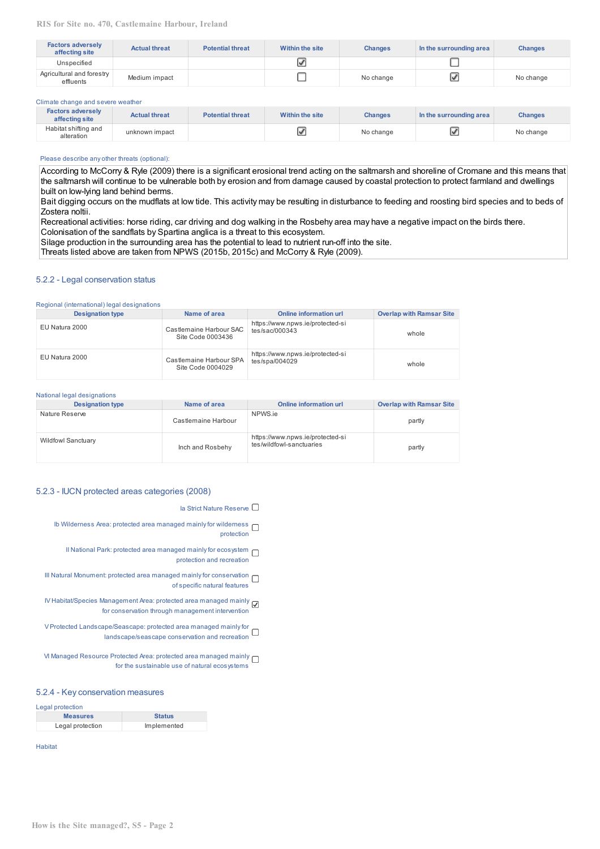| <b>Factors adversely</b><br>affecting site | <b>Actual threat</b> | <b>Potential threat</b> | Within the site | <b>Changes</b> | In the surrounding area | <b>Changes</b> |
|--------------------------------------------|----------------------|-------------------------|-----------------|----------------|-------------------------|----------------|
| Unspecified                                |                      |                         |                 |                |                         |                |
| Agricultural and forestry<br>effiuents     | Medium impact        |                         |                 | No change      | Q                       | No change      |

#### Climate change and severe weather

| <b>Factors adversely</b><br>affecting site | <b>Actual threat</b> | <b>Potential threat</b> | Within the site | <b>Changes</b> | In the surrounding area | <b>Changes</b> |
|--------------------------------------------|----------------------|-------------------------|-----------------|----------------|-------------------------|----------------|
| Habitat shifting and<br>alteration         | unknown impact       |                         | ×               | No change      | ⊵                       | No change      |

#### Please describe any other threats (optional):

According to McCorry & Ryle (2009) there is a significant erosional trend acting on the saltmarsh and shoreline of Cromane and this means that the saltmarsh will continue to be vulnerable both by erosion and from damage caused by coastal protection to protect farmland and dwellings built on low-lying land behind berms.

Bait digging occurs on the mudflats at low tide. This activity may be resulting in disturbance to feeding and roosting bird species and to beds of Zostera noltii.

Recreational activities: horse riding, car driving and dog walking in the Rosbehy area may have a negative impact on the birds there. Colonisation of the sandflats by Spartina anglica is a threat to this ecosystem.

Silage production in the surrounding area has the potential to lead to nutrient run‐off into the site.

Threats listed above are taken from NPWS (2015b, 2015c) and McCorry & Ryle (2009).

#### 5.2.2 - Legal conservation status

#### Regional (international) legal designations

| <b>Designation type</b> | Name of area                                 | <b>Online information url</b>                      | <b>Overlap with Ramsar Site</b> |
|-------------------------|----------------------------------------------|----------------------------------------------------|---------------------------------|
| EU Natura 2000          | Castlemaine Harbour SAC<br>Site Code 0003436 | https://www.npws.ie/protected-si<br>tes/sac/000343 | whole                           |
| EU Natura 2000          | Castlemaine Harbour SPA<br>Site Code 0004029 | https://www.npws.ie/protected-si<br>tes/spa/004029 | whole                           |

#### National legal designations

| <b>Designation type</b>   | Name of area        | <b>Online information url</b>                                | <b>Overlap with Ramsar Site</b> |
|---------------------------|---------------------|--------------------------------------------------------------|---------------------------------|
| Nature Reserve            | Castlemaine Harbour | NPWS.ie                                                      | partly                          |
| <b>Wildfowl Sanctuary</b> | Inch and Rosbehy    | https://www.npws.ie/protected-si<br>tes/wildfowl-sanctuaries | partly                          |

#### 5.2.3 - IUCN protected areas categories (2008)

Ia Strict Nature Reserve □

- Ib Wilderness Area: protected area managed mainly for wilderness  $\Box$ protection
	- II National Park: protected area managed mainly for ecosystem protection and recreation
- III Natural Monument: protected area managed mainly for conservation of specific natural features
- IV Habitat/Species Management Area: protected area managed mainly for conservation through management intervention
- V Protected Landscape/Seascape: protected area managed mainlyfor landscape/seascape conservation and recreation
- VI Managed Resource Protected Area: protected area managed mainly for the sustainable use of natural ecosystems

## 5.2.4 - Key conservation measures

| Legal protection |               |
|------------------|---------------|
| <b>Measures</b>  | <b>Status</b> |
| Legal protection | Implemented   |

Habitat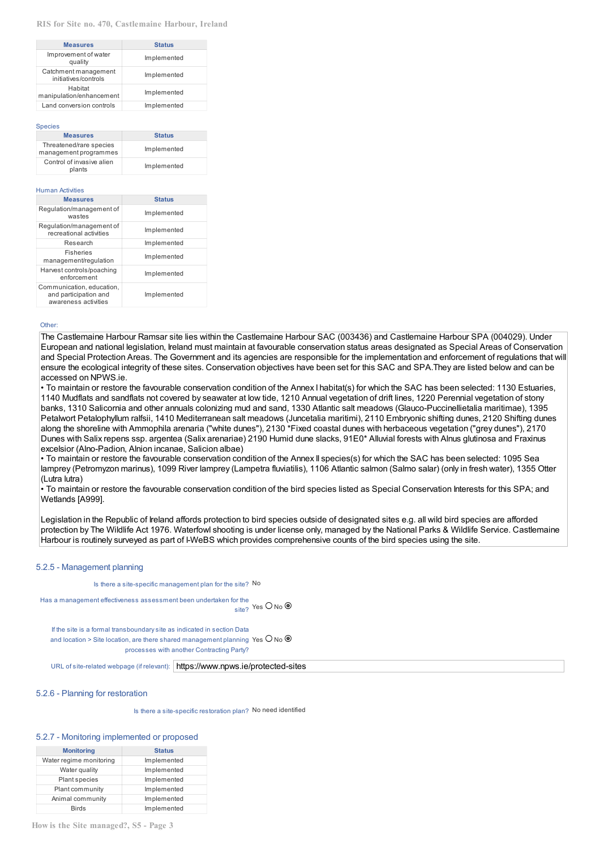#### **RIS for Site no. 470, Castlemaine Harbour, Ireland**

| <b>Measures</b>                              | <b>Status</b> |  |
|----------------------------------------------|---------------|--|
| Improvement of water<br>quality              | Implemented   |  |
| Catchment management<br>initiatives/controls | Implemented   |  |
| Habitat<br>manipulation/enhancement          | Implemented   |  |
| Land conversion controls                     | Implemented   |  |

#### Species

| <b>Measures</b>                     | <b>Status</b> |
|-------------------------------------|---------------|
| Threatened/rare species             | Implemented   |
| management programmes               |               |
| Control of invasive alien<br>plants | Implemented   |

#### Human Activities

| <b>Measures</b>                                                            | <b>Status</b> |
|----------------------------------------------------------------------------|---------------|
| Regulation/management of<br>wastes                                         | Implemented   |
| Regulation/management of<br>recreational activities                        | Implemented   |
| Research                                                                   | Implemented   |
| <b>Fisheries</b><br>management/regulation                                  | Implemented   |
| Harvest controls/poaching<br>enforcement                                   | Implemented   |
| Communication, education,<br>and participation and<br>awareness activities | Implemented   |

#### Other:

The Castlemaine Harbour Ramsar site lies within the Castlemaine Harbour SAC (003436) and Castlemaine Harbour SPA (004029). Under European and national legislation, Ireland must maintain at favourable conservation status areas designated as Special Areas of Conservation and Special Protection Areas. The Government and its agencies are responsible for the implementation and enforcement of regulations that will ensure the ecological integrity of these sites. Conservation objectives have been set for this SAC and SPA.They are listed below and can be accessed on NPWS.ie.

• To maintain or restore the favourable conservation condition of the Annex I habitat(s) for which the SAC has been selected: 1130 Estuaries, 1140 Mudflats and sandflats not covered by seawater at low tide, 1210 Annual vegetation of drift lines, 1220 Perennial vegetation of stony

banks, 1310 Salicornia and other annuals colonizing mud and sand, 1330 Atlantic salt meadows (Glauco‐Puccinellietalia maritimae), 1395 Petalwort Petalophyllum ralfsii, 1410 Mediterranean salt meadows (Juncetalia maritimi), 2110 Embryonic shifting dunes, 2120 Shifting dunes along the shoreline with Ammophila arenaria ("white dunes"), 2130 \*Fixed coastal dunes with herbaceous vegetation ("grey dunes"), 2170 Dunes with Salix repens ssp. argentea (Salix arenariae) 2190 Humid dune slacks, 91E0\* Alluvial forests with Alnus glutinosa and Fraxinus excelsior (Alno‐Padion, Alnion incanae, Salicion albae)

• To maintain or restore the favourable conservation condition of the Annex II species(s) for which the SAC has been selected: 1095 Sea lamprey (Petromyzon marinus), 1099 River lamprey (Lampetra fluviatilis), 1106 Atlantic salmon (Salmo salar) (only in fresh water), 1355 Otter (Lutra lutra)

• To maintain or restore the favourable conservation condition of the bird species listed as Special Conservation Interests for this SPA; and Wetlands [A999].

Legislation in the Republic of Ireland affords protection to bird species outside of designated sites e.g. all wild bird species are afforded protection by The Wildlife Act 1976. Waterfowl shooting is under license only, managed by the National Parks & Wildlife Service. Castlemaine Harbour is routinely surveyed as part of I-WeBS which provides comprehensive counts of the bird species using the site.

#### 5.2.5 - Management planning

Is there a site-specific management plan for the site? No

```
Has a management effectiveness assessment been undertaken for the
                                                             \frac{1}{\text{site?}} Yes O No \odot
```
If the site is a formal transboundarysite as indicated in section Data and location > Site location, are there shared management planning Yes  $\bigcup$  No  $^{\mathfrak l}$ processes with another Contracting Party?

URL of site-related webpage (if relevant): https://www.npws.ie/protected-sites

#### 5.2.6 - Planning for restoration

Is there a site-specific restoration plan? No need identified

#### 5.2.7 - Monitoring implemented or proposed

| <b>Monitoring</b>       | <b>Status</b> |
|-------------------------|---------------|
| Water regime monitoring | Implemented   |
| Water quality           | Implemented   |
| Plant species           | Implemented   |
| Plant community         | Implemented   |
| Animal community        | Implemented   |
| <b>Birds</b>            | Implemented   |

**How is the Site managed?, S5 - Page 3**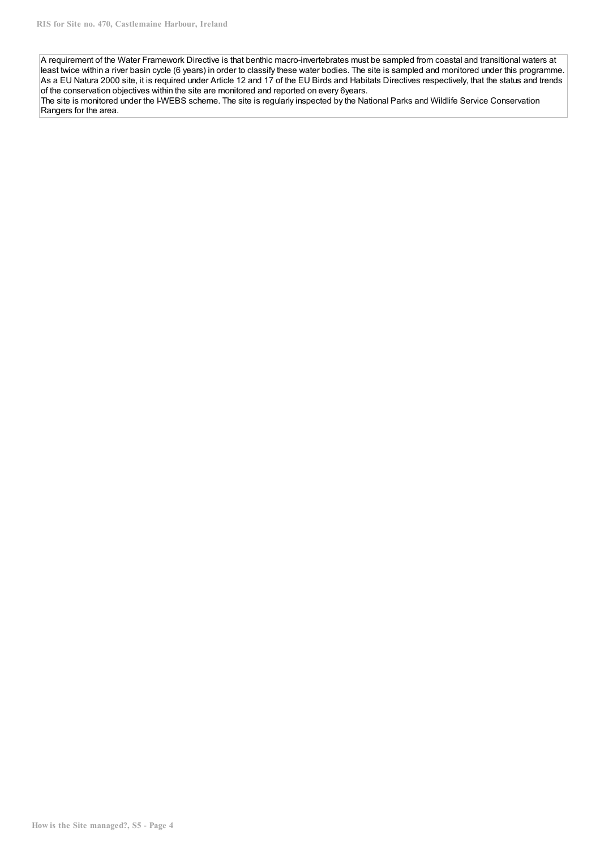A requirement of the Water Framework Directive is that benthic macro-invertebrates must be sampled from coastal and transitional waters at least twice within a river basin cycle (6 years) in order to classify these water bodies. The site is sampled and monitored under this programme. As a EU Natura 2000 site, it is required under Article 12 and 17 of the EU Birds and Habitats Directives respectively, that the status and trends of the conservation objectives within the site are monitored and reported on every 6years.

The site is monitored under the I-WEBS scheme. The site is regularly inspected by the National Parks and Wildlife Service Conservation Rangers for the area.